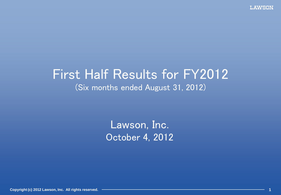# First Half Results for FY2012 (Six months ended August 31, 2012)

Lawson, Inc. October 4, 2012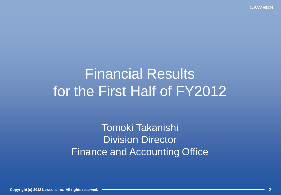# Financial Results for the First Half of FY2012

Tomoki Takanishi Division Director Finance and Accounting Office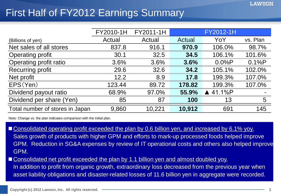### First Half of FY2012 Earnings Summary

|                                 | FY2010-1H | FY2011-1H |        | FY2012-1H |          |
|---------------------------------|-----------|-----------|--------|-----------|----------|
| (Billions of yen)               | Actual    | Actual    | Actual | YoY       | vs. Plan |
| Net sales of all stores         | 837.8     | 916.1     | 970.9  | 106.0%    | 98.7%    |
| Operating profit                | 30.1      | 32.5      | 34.5   | 106.1%    | 101.6%   |
| Operating profit ratio          | 3.6%      | 3.6%      | 3.6%   | 0.0%P     | 0.1%P    |
| <b>Recurring profit</b>         | 29.6      | 32.6      | 34.2   | 105.1%    | 102.0%   |
| Net profit                      | 12.2      | 8.9       | 17.8   | 199.3%    | 107.0%   |
| EPS(Yen)                        | 123.44    | 89.72     | 178.82 | 199.3%    | 107.0%   |
| Dividend payout ratio           | 68.9%     | 97.0%     | 55.9%  | 41.1%P    |          |
| Dividend per share (Yen)        | 85        | 87        | 100    | 13        | 5        |
| Total number of stores in Japan | 9,860     | 10,221    | 10,912 | 691       | 145      |

Note: Change vs. the plan indicates comparison with the initial plan.

- Consolidated operating profit exceeded the plan by 0.6 billion yen, and increased by 6.1% yoy. Sales growth of products with higher GPM and efforts to mark-up processed foods helped improve GPM. Reduction in SG&A expenses by review of IT operational costs and others also helped improve GPM.
- Consolidated net profit exceeded the plan by 1.1 billion yen and almost doubled yoy. In addition to profit from organic growth, extraordinary loss decreased from the previous year when asset liability obligations and disaster-related losses of 11.6 billion yen in aggregate were recorded.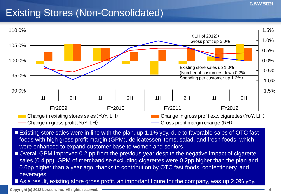### Existing Stores (Non-Consolidated)



- Existing store sales were in line with the plan, up 1.1% yoy, due to favorable sales of OTC fast foods with high gross profit margin (GPM), delicatessen items, salad, and fresh foods, which were enhanced to expand customer base to women and seniors.
- Overall GPM improved 0.2 pp from the previous year despite the negative impact of cigarette sales (0.4 pp). GPM of merchandise excluding cigarettes were 0.2pp higher than the plan and 0.6pp higher than a year ago, thanks to contribution by OTC fast foods, confectionery, and beverages.
- As a result, existing store gross profit, an important figure for the company, was up 2.0% yoy.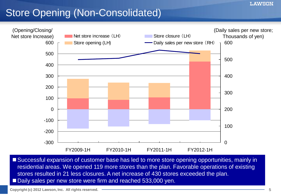#### **LAWSON**

### Store Opening (Non-Consolidated)



■ Successful expansion of customer base has led to more store opening opportunities, mainly in residential areas. We opened 119 more stores than the plan. Favorable operations of existing stores resulted in 21 less closures. A net increase of 430 stores exceeded the plan. Daily sales per new store were firm and reached 533,000 yen.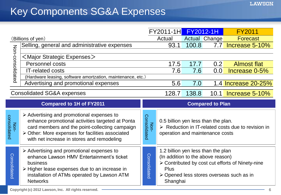|                      |                                                                                                                                                                                                                                                                  |                      | <b>FY2011-1H</b>                                                                                   |       | <b>FY2012-1H</b>        | <b>FY2011</b>                                                                                |
|----------------------|------------------------------------------------------------------------------------------------------------------------------------------------------------------------------------------------------------------------------------------------------------------|----------------------|----------------------------------------------------------------------------------------------------|-------|-------------------------|----------------------------------------------------------------------------------------------|
|                      | (Billions of yen)                                                                                                                                                                                                                                                |                      | Actual                                                                                             |       | Actual Change           | <b>Forecast</b>                                                                              |
|                      | Selling, general and administrative expenses                                                                                                                                                                                                                     |                      | 93.1                                                                                               | 100.8 | 7.7                     | Increase 5-10%                                                                               |
| Non-consolidated     |                                                                                                                                                                                                                                                                  |                      |                                                                                                    |       |                         |                                                                                              |
|                      | $\leq$ Major Strategic Expenses $>$                                                                                                                                                                                                                              |                      |                                                                                                    |       |                         |                                                                                              |
|                      | Personnel costs                                                                                                                                                                                                                                                  |                      | 17.5                                                                                               | 17.7  | 0.2                     | <b>Almost flat</b>                                                                           |
|                      | <b>IT-related costs</b>                                                                                                                                                                                                                                          |                      | 7.6                                                                                                | 7.6   | 0.0                     | Increase 0-5%                                                                                |
|                      | (Hardware leasing, software amortzation, maintenance, etc.)                                                                                                                                                                                                      |                      |                                                                                                    |       |                         |                                                                                              |
|                      | Advertising and promotional expenses                                                                                                                                                                                                                             |                      | 5.6                                                                                                | 7.0   |                         | 1.4 Increase 20-25%                                                                          |
|                      | <b>Consolidated SG&amp;A expenses</b>                                                                                                                                                                                                                            |                      | 128.7                                                                                              | 138.8 |                         | 10.1 Increase 5-10%                                                                          |
|                      | <b>Compared to 1H of FY2011</b>                                                                                                                                                                                                                                  |                      |                                                                                                    |       | <b>Compared to Plan</b> |                                                                                              |
| Non-<br>consolidated | $\triangleright$ Advertising and promotional expenses to<br>enhance promotional activities targeted at Ponta<br>card members and the point-collecting campaign<br>> Other: More expenses for facilities associated<br>with net increase in stores and remodeling | Consolidated<br>Non- | 0.5 billion yen less than the plan.<br>operation and maintenance costs                             |       |                         | $\triangleright$ Reduction in IT-related costs due to revision in                            |
| Consolidated         | $\triangleright$ Advertising and promotional expenses to<br>enhance Lawson HMV Entertainment's ticket<br>business<br>> Higher lease expenses due to an increase in<br>installation of ATMs operated by Lawson ATM<br><b>Networks</b>                             | Consolidated         | 1.2 billion yen less than the plan<br>(In addition to the above reason)<br><b>Plus</b><br>Shanghai |       |                         | > Contributed by cost cut efforts of Ninety-nine<br>≻ Opened less stores overseas such as in |
|                      | Convight (a) 2012 Lougan Ing All rights reserved                                                                                                                                                                                                                 |                      |                                                                                                    |       |                         |                                                                                              |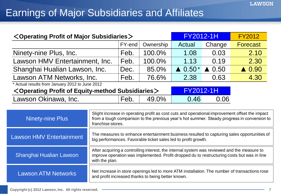### Earnings of Major Subsidiaries and Affiliates

| <operating major="" of="" profit="" subsidiaries=""></operating> |                                                                                                                                                                                                                    |        | <b>FY2012-1H</b> |                   | <b>FY2012</b>            |                  |
|------------------------------------------------------------------|--------------------------------------------------------------------------------------------------------------------------------------------------------------------------------------------------------------------|--------|------------------|-------------------|--------------------------|------------------|
|                                                                  |                                                                                                                                                                                                                    | FY-end | Ownership        | Actual            | Change                   | <b>Forecast</b>  |
| Ninety-nine Plus, Inc.                                           |                                                                                                                                                                                                                    | Feb.   | 100.0%           | 1.08              | 0.03                     | 2.10             |
| Lawson HMV Entertainment, Inc.                                   |                                                                                                                                                                                                                    | Feb.   | 100.0%           | 1.13              | 0.19                     | 2.30             |
| Shanghai Hualian Lawson, Inc.                                    |                                                                                                                                                                                                                    | Dec.   | 85.0%            | $\triangle$ 0.50* | 0.50<br>$\blacktriangle$ | $\triangle$ 0.90 |
| Lawson ATM Networks, Inc.                                        |                                                                                                                                                                                                                    | Feb.   | 76.6%            | 2.38              | 0.63                     | 4.30             |
| Actual results from January 2012 to June 2012                    |                                                                                                                                                                                                                    |        |                  |                   |                          |                  |
| $\leq$ Operating Profit of Equity-method Subsidiaries $>$        |                                                                                                                                                                                                                    |        |                  | <b>FY2012-1H</b>  |                          |                  |
| Lawson Okinawa, Inc.<br>49.0%<br>Feb.                            |                                                                                                                                                                                                                    |        | 0.46             | 0.06              |                          |                  |
|                                                                  |                                                                                                                                                                                                                    |        |                  |                   |                          |                  |
| <b>Ninety-nine Plus</b>                                          | Slight increase in operating profit as cost cuts and operational improvement offset the impact<br>from a tough comparison to the previous year's hot summer. Steady progress in conversion to<br>franchise stores. |        |                  |                   |                          |                  |
| <b>Lawson HMV Entertainment</b>                                  | The measures to enhance entertainment business resulted to capturing sales opportunities of<br>big performances. Favorable ticket sales led to profit growth.                                                      |        |                  |                   |                          |                  |
| Shanghai Hualian Lawson                                          | After acquiring a controlling interest, the internal system was reviewed and the measure to<br>improve operation was implemented. Profit dropped du to restructuring costs but was in line<br>with the plan.       |        |                  |                   |                          |                  |
| Lawson ATM Networks                                              | Net increase in store openings led to more ATM installation. The number of transactions rose<br>ويتماس والمستغفر والمستراه والسفار وبالمرور والخاري والمستوسد والخالف                                              |        |                  |                   |                          |                  |

and profit increased thanks to being better known.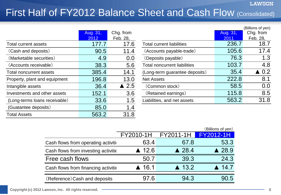#### **LAWSON**

### First Half of FY2012 Balance Sheet and Cash Flow (Consolidated)

|                               | Aug. 31, | Chg. from       |                                     | Aug. 31, | Chg. from       |
|-------------------------------|----------|-----------------|-------------------------------------|----------|-----------------|
|                               | 2012     | Feb. 28,        |                                     | 2011     | Feb. 28,        |
| Total current assets          | 177.7    | 17.6            | <b>Total current liabilities</b>    | 236.7    | 18.7            |
| (Cash and deposits)           | 90.5     | 11.4            | (Accounts payable-trade)            | 105.6    | 17.4            |
| (Marketable securities)       | 4.9      | 0.0             | (Deposits payable)                  | 76.3     | 1.3             |
| (Accounts receivable)         | 38.3     | 5.6             | <b>Total noncurrent liabilities</b> | 103.7    | 4.8             |
| Total noncurrent assets       | 385.4    | 14.1            | (Long-term guarantee deposits)      | 35.4     | $\triangle$ 0.2 |
| Property, plant and equipment | 196.8    | 13.0            | <b>Net Assets</b>                   | 222.8    | 8.1             |
| Intangible assets             | 36.4     | $\triangle$ 2.5 | (Common stock)                      | 58.5     | 0.0             |
| Investments and other assets  | 152.1    | 3.6             | (Retained earnings)                 | 115.8    | 8.5             |
| (Long-terms loans receivable) | 33.6     | 1.5             | Liabilities, and net assets         | 563.2    | 31.8            |
| (Guatantee deposits)          | 85.0     | 1.4             |                                     |          |                 |
| <b>Total Assets</b>           | 563.2    | 31.8            |                                     |          |                 |

|                                     |          | (Billions of yen) |
|-------------------------------------|----------|-------------------|
|                                     | Aug. 31, | Chg. from         |
|                                     | 2011     | Feb. 28,          |
| <b>Total current liabilities</b>    | 236.7    | 18.7              |
| (Accounts payable-trade)            | 105.6    | 17.4              |
| (Deposits payable)                  | 76.3     | 1.3               |
| <b>Total noncurrent liabilities</b> | 103.7    | 4.8               |
| (Long-term guarantee deposits)      | 35.4     | $\triangle$ 0.2   |
| <b>Net Assets</b>                   | 222.8    | 8.1               |
| (Common stock)                      | 58.5     | 0.0               |
| (Retained earnings)                 | 115.8    | 8.5               |
| Liabilities, and net assets         | 563.2    | 31.8              |
|                                     |          |                   |

|                                     |           |                       | (Billions of yen) |
|-------------------------------------|-----------|-----------------------|-------------------|
|                                     | FY2010-1H | FY2011-1H             | FY2012-1H         |
| Cash flows from operating activiti- | 63.4      | 67.8                  | 53.3              |
| Cash flows from investing activitie | 12.6      | $\triangle$ 28.4      | $\triangle$ 28.9  |
| Free cash flows                     | 50.7      | 39.3                  | 24.3              |
| Cash flows from financing activitie | 16.1      | $\blacktriangle$ 13.2 | 14.7              |
| (Reference) Cash and deposits       | 97.6      | 94.3                  | 90.5              |
|                                     |           |                       |                   |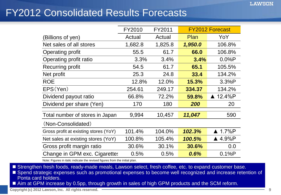### FY2012 Consolidated Results Forecasts

|                                       | FY2010  | FY2011  |             | <b>FY2012 Forecast</b> |
|---------------------------------------|---------|---------|-------------|------------------------|
| (Billions of yen)                     | Actual  | Actual  | <b>Plan</b> | YoY                    |
| Net sales of all stores               | 1,682.8 | 1,825.8 | 1,950.0     | 106.8%                 |
| Operating profit                      | 55.5    | 61.7    | 66.0        | 106.8%                 |
| Operating profit ratio                | 3.3%    | 3.4%    | 3.4%        | 0.0%P                  |
| <b>Recurring profit</b>               | 54.5    | 61.7    | 65.1        | 105.5%                 |
| Net profit                            | 25.3    | 24.8    | 33.4        | 134.2%                 |
| <b>ROE</b>                            | 12.8%   | 12.0%   | 15.3%       | 3.3%P                  |
| EPS(Yen)                              | 254.61  | 249.17  | 334.37      | 134.2%                 |
| Dividend payout ratio                 | 66.8%   | 72.2%   | 59.8%       | ▲ 12.4%P               |
| Dividend per share (Yen)              | 170     | 180     | 200         | 20                     |
| Total number of stores in Japan       | 9,994   | 10,457  | 11,047      | 590                    |
| (Non-Consolidated)                    |         |         |             |                        |
| Gross profit at existing stores (YoY) | 101.4%  | 104.0%  | 102.3%      | $\triangle$ 1.7%P      |
| Net sales at existing stores (YoY)    | 100.8%  | 105.4%  | 100.5%      | $\triangle$ 4.9%P      |
| Gross profit margin ratio             | 30.6%   | 30.1%   | 30.6%       | 0.0                    |
| Change in GPM exc. Cigarettes         | 0.5%    | 0.5%    | 0.6%        | 0.1%P                  |

Note: Figures in italic indicate the revised figures from the initial plan.

■ Strengthen fresh foods, ready-made meals, Lawson select, fresh coffee, etc. to expand customer base.

■ Spend strategic expenses such as promotional expenses to become well recognized and increase retention of Ponta card holders.

Aim at GPM increase by 0.5pp, through growth in sales of high GPM products and the SCM reform.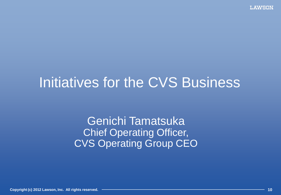# Initiatives for the CVS Business

Genichi Tamatsuka **Chief Operating Officer,** CVS Operating Group CEO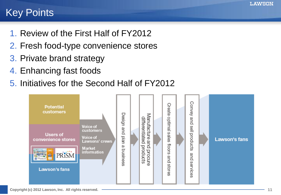### Key Points

- 1. Review of the First Half of FY2012
- 2. Fresh food-type convenience stores
- 3. Private brand strategy
- 4. Enhancing fast foods
- 5. Initiatives for the Second Half of FY2012

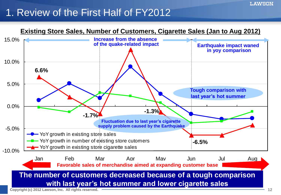### 1. Review of the First Half of FY2012



**LAWSON**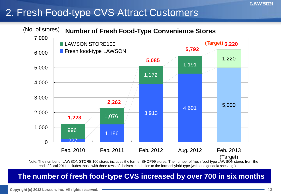## 2. Fresh Food-type CVS Attract Customers



### **The number of fresh food-type CVS increased by over 700 in six months**

**LAWSON**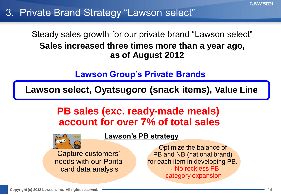### 3. Private Brand Strategy "Lawson select"

### Steady sales growth for our private brand "Lawson select" **Sales increased three times more than a year ago, as of August 2012**

### **Lawson Group's Private Brands**

**Lawson select, Oyatsugoro (snack items), Value Line**

### **PB sales (exc. ready-made meals) account for over 7% of total sales**



Capture customers' needs with our Ponta card data analysis

Optimize the balance of PB and NB (national brand) for each item in developing PB.  $\rightarrow$  No reckless PB category expansion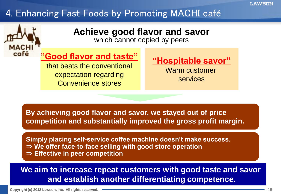### 4. Enhancing Fast Foods by Promoting MACHI café



### **Achieve good flavor and savor**

which cannot copied by peers

### **"Good flavor and taste"**

that beats the conventional expectation regarding Convenience stores

### **"Hospitable savor"**

Warm customer services

**By achieving good flavor and savor, we stayed out of price competition and substantially improved the gross profit margin.**

**Simply placing self-service coffee machine doesn't make success.** ⇒ **We offer face-to-face selling with good store operation**  ⇒ **Effective in peer competition**

### **We aim to increase repeat customers with good taste and savor and establish another differentiating competence.**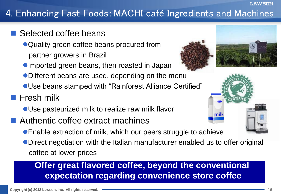## 4. Enhancing Fast Foods:MACHI café Ingredients and Machines

### Selected coffee beans

- Quality green coffee beans procured from partner growers in Brazil
- Imported green beans, then roasted in Japan
- Different beans are used, depending on the menu
- Use beans stamped with "Rainforest Alliance Certified"

### **Fresh milk**

- Use pasteurized milk to realize raw milk flavor
- Authentic coffee extract machines
	- Enable extraction of milk, which our peers struggle to achieve
	- Direct negotiation with the Italian manufacturer enabled us to offer original coffee at lower prices

### **Offer great flavored coffee, beyond the conventional expectation regarding convenience store coffee**



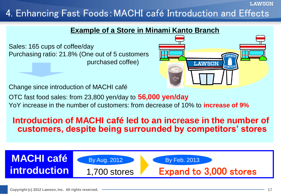LAWSON

### 4. Enhancing Fast Foods:MACHI café Introduction and Effects

### **Example of a Store in Minami Kanto Branch**

Sales: 165 cups of coffee/day Purchasing ratio: 21.8% (One out of 5 customers purchased coffee)



Change since introduction of MACHI café

OTC fast food sales: from 23,800 yen/day to **56,000 yen/day**

YoY increase in the number of customers: from decrease of 10% to **increase of 9%**

### **Introduction of MACHI café led to an increase in the number of customers, despite being surrounded by competitors' stores**

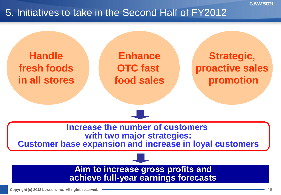

### 5. Initiatives to take in the Second Half of FY2012

**Handle fresh foods in all stores** 

**Enhance OTC fast food sales**

**Strategic, proactive sales promotion**

**Increase the number of customers with two major strategies:**

**Customer base expansion and increase in loyal customers**

**Aim to increase gross profits and achieve full-year earnings forecasts**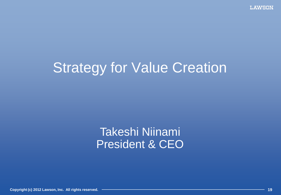# **Strategy for Value Creation**

## Takeshi Niinami President & CEO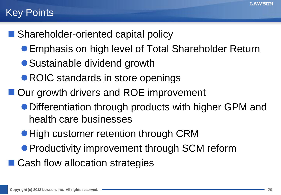### **Key Points**

- Shareholder-oriented capital policy
	- Emphasis on high level of Total Shareholder Return
	- Sustainable dividend growth
	- ROIC standards in store openings
- Our growth drivers and ROE improvement
	- Differentiation through products with higher GPM and health care businesses
	- High customer retention through CRM
	- **Productivity improvement through SCM reform**
- Cash flow allocation strategies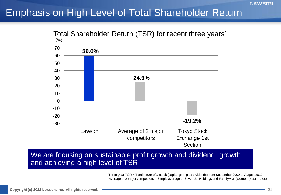### Emphasis on High Level of Total Shareholder Return



### We are focusing on sustainable profit growth and dividend growth and achieving a high level of TSR

\* Three-year TSR = Total return of a stock (capital gain plus dividends) from September 2009 to August 2012 Average of 2 major competitors = Simple average of Seven & i Holdings and FamilyMart (Company estimates)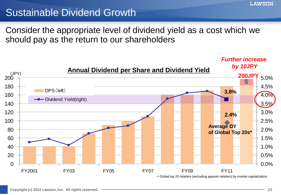### Sustainable Dividend Growth

Consider the appropriate level of dividend yield as a cost which we should pay as the return to our shareholders

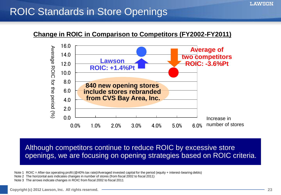#### LAWSON

### ROIC Standards in Store Openings

#### **Change in ROIC in Comparison to Competitors (FY2002-FY2011)**



Although competitors continue to reduce ROIC by excessive store openings, we are focusing on opening strategies based on ROIC criteria.

Note 1 ROIC = After-tax operating profit ( $@$ 40% tax rate)/Averaged invested capital for the period (equity + interest-bearing debts)

Note 2 The horizontal axis indicates changes in number of stores (from fiscal 2002 to fiscal 2011)

Note 3 The arrows indicate changes in ROIC from fiscal 2002 to fiscal 2011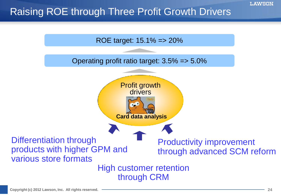## Raising ROE through Three Profit Growth Drivers

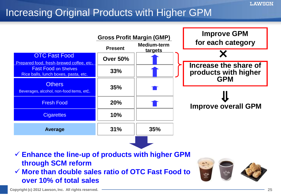## Increasing Original Products with Higher GPM



- **Enhance the line-up of products with higher GPM through SCM reform**
- **More than double sales ratio of OTC Fast Food to over 10% of total sales**

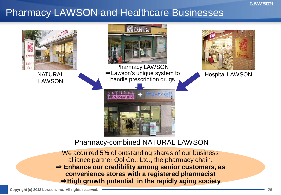### Pharmacy LAWSON and Healthcare Businesses



We acquired 5% of outstanding shares of our business alliance partner Qol Co., Ltd., the pharmacy chain. ⇒ **Enhance our credibility among senior customers, as convenience stores with a registered pharmacist** ⇒**High growth potential in the rapidly aging society**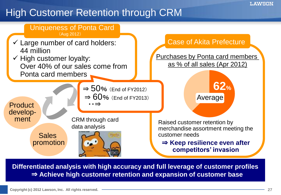### High Customer Retention through CRM



**Differentiated analysis with high accuracy and full leverage of customer profiles** ⇒ **Achieve high customer retention and expansion of customer base**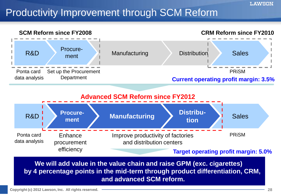### Productivity Improvement through SCM Reform



**We will add value in the value chain and raise GPM (exc. cigarettes) by 4 percentage points in the mid-term through product differentiation, CRM, and advanced SCM reform.**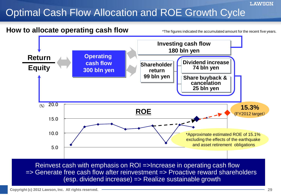## Optimal Cash Flow Allocation and ROE Growth Cycle



**LAWSON**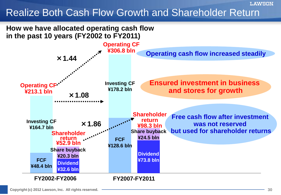### Realize Both Cash Flow Growth and Shareholder Return



**LAWSON**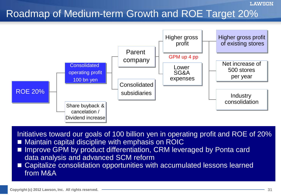#### **LAWSON**

### Roadmap of Medium-term Growth and ROE Target 20%



Initiatives toward our goals of 100 billion yen in operating profit and ROE of 20% ■ Maintain capital discipline with emphasis on ROIC

- Improve GPM by product differentiation, CRM leveraged by Ponta card data analysis and advanced SCM reform
- Capitalize consolidation opportunities with accumulated lessons learned from M&A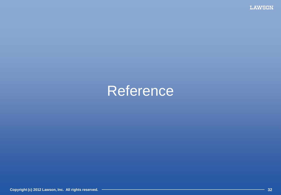**LAWSON** 

# Reference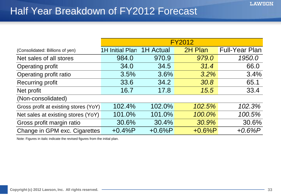### Half Year Breakdown of FY2012 Forecast

|                                       | <b>FY2012</b>          |           |          |                       |  |  |
|---------------------------------------|------------------------|-----------|----------|-----------------------|--|--|
| (Consolidated: Billions of yen)       | <b>1H Initial Plan</b> | 1H Actual | 2H Plan  | <b>Full-Year Plan</b> |  |  |
| Net sales of all stores               | 984.0                  | 970.9     | 979.0    | 1950.0                |  |  |
| Operating profit                      | 34.0                   | 34.5      | 31.4     | 66.0                  |  |  |
| Operating profit ratio                | 3.5%                   | 3.6%      | 3.2%     | 3.4%                  |  |  |
| Recurring profit                      | 33.6                   | 34.2      | 30.8     | 65.1                  |  |  |
| Net profit                            | 16.7                   | 17.8      | 15.5     | 33.4                  |  |  |
| (Non-consolidated)                    |                        |           |          |                       |  |  |
| Gross profit at existing stores (YoY) | 102.4%                 | 102.0%    | 102.5%   | 102.3%                |  |  |
| Net sales at existing stores (YoY)    | 101.0%                 | 101.0%    | 100.0%   | 100.5%                |  |  |
| Gross profit margin ratio             | 30.6%                  | 30.4%     | 30.9%    | 30.6%                 |  |  |
| Change in GPM exc. Cigarettes         | $+0.4%P$               | $+0.6%P$  | $+0.6%P$ | $+0.6\%P$             |  |  |

Note: Figures in italic indicate the revised figures from the initial plan.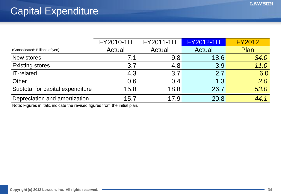|                                  | FY2010-1H | FY2011-1H | <b>FY2012-1H</b> | <b>FY2012</b> |
|----------------------------------|-----------|-----------|------------------|---------------|
| (Consolidated: Billions of yen)  | Actual    | Actual    | Actual           | Plan          |
| New stores                       | 7.1       | 9.8       | 18.6             | 34.0          |
| <b>Existing stores</b>           | 3.7       | 4.8       | 3.9              | 11.0          |
| <b>IT-related</b>                | 4.3       | 3.7       | 2.7              | 6.0           |
| Other                            | 0.6       | 0.4       | 1.3              | 2.0           |
| Subtotal for capital expenditure | 15.8      | 18.8      | 26.7             | 53.0          |
| Depreciation and amortization    | 15.7      | 17.9      | 20.8             | 44.1          |

Note: Figures in italic indicate the revised figures from the initial plan.